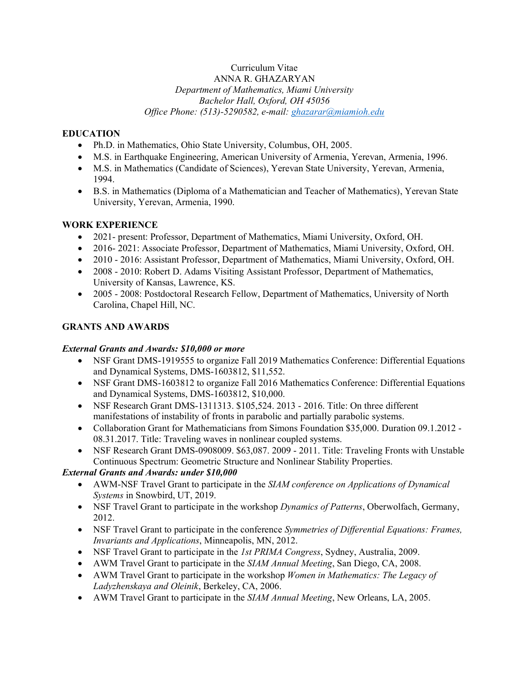#### Curriculum Vitae ANNA R. GHAZARYAN *Department of Mathematics, Miami University Bachelor Hall, Oxford, OH 45056 Office Phone: (513)-5290582, e-mail: [ghazarar@miamioh.edu](mailto:ghazarar@miamioh.edu)*

## **EDUCATION**

- Ph.D. in Mathematics, Ohio State University, Columbus, OH, 2005.
- M.S. in Earthquake Engineering, American University of Armenia, Yerevan, Armenia, 1996.
- M.S. in Mathematics (Candidate of Sciences), Yerevan State University, Yerevan, Armenia, 1994.
- B.S. in Mathematics (Diploma of a Mathematician and Teacher of Mathematics), Yerevan State University, Yerevan, Armenia, 1990.

## **WORK EXPERIENCE**

- 2021- present: Professor, Department of Mathematics, Miami University, Oxford, OH.
- 2016- 2021: Associate Professor, Department of Mathematics, Miami University, Oxford, OH.
- 2010 2016: Assistant Professor, Department of Mathematics, Miami University, Oxford, OH.
- 2008 2010: Robert D. Adams Visiting Assistant Professor, Department of Mathematics, University of Kansas, Lawrence, KS.
- 2005 2008: Postdoctoral Research Fellow, Department of Mathematics, University of North Carolina, Chapel Hill, NC.

## **GRANTS AND AWARDS**

## *External Grants and Awards: \$10,000 or more*

- NSF Grant DMS-1919555 to organize Fall 2019 Mathematics Conference: Differential Equations and Dynamical Systems, DMS-1603812, \$11,552.
- NSF Grant DMS-1603812 to organize Fall 2016 Mathematics Conference: Differential Equations and Dynamical Systems, DMS-1603812, \$10,000.
- NSF Research Grant DMS-1311313. \$105,524. 2013 2016. Title: On three different manifestations of instability of fronts in parabolic and partially parabolic systems.
- Collaboration Grant for Mathematicians from Simons Foundation \$35,000. Duration 09.1.2012 08.31.2017. Title: Traveling waves in nonlinear coupled systems.
- NSF Research Grant DMS-0908009. \$63,087. 2009 2011. Title: Traveling Fronts with Unstable Continuous Spectrum: Geometric Structure and Nonlinear Stability Properties.

# *External Grants and Awards: under \$10,000*

- AWM-NSF Travel Grant to participate in the *SIAM conference on Applications of Dynamical Systems* in Snowbird, UT, 2019.
- NSF Travel Grant to participate in the workshop *Dynamics of Patterns*, Oberwolfach, Germany, 2012.
- NSF Travel Grant to participate in the conference *Symmetries of Differential Equations: Frames, Invariants and Applications*, Minneapolis, MN, 2012.
- NSF Travel Grant to participate in the *1st PRIMA Congress*, Sydney, Australia, 2009.
- AWM Travel Grant to participate in the *SIAM Annual Meeting*, San Diego, CA, 2008.
- AWM Travel Grant to participate in the workshop *Women in Mathematics: The Legacy of Ladyzhenskaya and Oleinik*, Berkeley, CA, 2006.
- AWM Travel Grant to participate in the *SIAM Annual Meeting*, New Orleans, LA, 2005.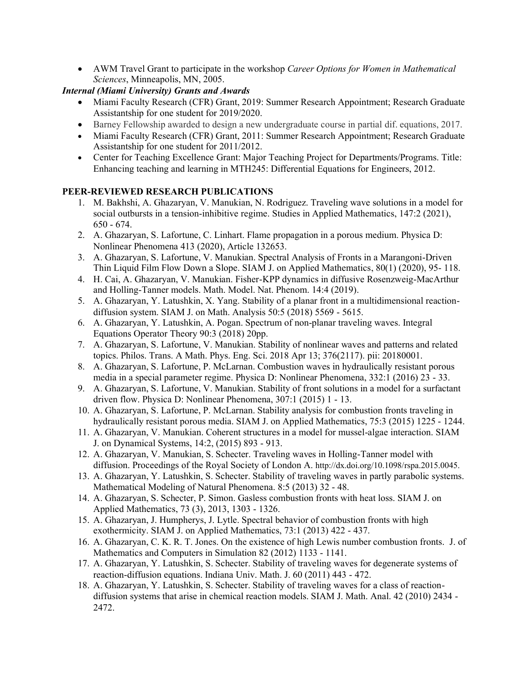• AWM Travel Grant to participate in the workshop *Career Options for Women in Mathematical Sciences*, Minneapolis, MN, 2005.

## *Internal (Miami University) Grants and Awards*

- Miami Faculty Research (CFR) Grant, 2019: Summer Research Appointment; Research Graduate Assistantship for one student for 2019/2020.
- Barney Fellowship awarded to design a new undergraduate course in partial dif. equations, 2017.
- Miami Faculty Research (CFR) Grant, 2011: Summer Research Appointment; Research Graduate Assistantship for one student for 2011/2012.
- Center for Teaching Excellence Grant: Major Teaching Project for Departments/Programs. Title: Enhancing teaching and learning in MTH245: Differential Equations for Engineers, 2012.

## **PEER-REVIEWED RESEARCH PUBLICATIONS**

- 1. M. Bakhshi, A. Ghazaryan, V. Manukian, N. Rodriguez. Traveling wave solutions in a model for social outbursts in a tension-inhibitive regime. Studies in Applied Mathematics, 147:2 (2021), 650 - 674.
- 2. A. Ghazaryan, S. Lafortune, C. Linhart. Flame propagation in a porous medium. Physica D: Nonlinear Phenomena 413 (2020), Article 132653.
- 3. A. Ghazaryan, S. Lafortune, V. Manukian. Spectral Analysis of Fronts in a Marangoni-Driven Thin Liquid Film Flow Down a Slope. SIAM J. on Applied Mathematics, 80(1) (2020), 95- 118.
- 4. H. Cai, A. Ghazaryan, V. Manukian. Fisher-KPP dynamics in diffusive Rosenzweig-MacArthur and Holling-Tanner models. Math. Model. Nat. Phenom. 14:4 (2019).
- 5. A. Ghazaryan, Y. Latushkin, X. Yang. Stability of a planar front in a multidimensional reactiondiffusion system. SIAM J. on Math. Analysis 50:5 (2018) 5569 - 5615.
- 6. A. Ghazaryan, Y. Latushkin, A. Pogan. Spectrum of non-planar traveling waves. Integral Equations Operator Theory 90:3 (2018) 20pp.
- 7. A. Ghazaryan, S. Lafortune, V. Manukian. Stability of nonlinear waves and patterns and related topics. Philos. Trans. A Math. Phys. Eng. Sci. 2018 Apr 13; 376(2117). pii: 20180001.
- 8. A. Ghazaryan, S. Lafortune, P. McLarnan. Combustion waves in hydraulically resistant porous media in a special parameter regime. Physica D: Nonlinear Phenomena, 332:1 (2016) 23 - 33.
- 9. A. Ghazaryan, S. Lafortune, V. Manukian. Stability of front solutions in a model for a surfactant driven flow. Physica D: Nonlinear Phenomena, 307:1 (2015) 1 - 13.
- 10. A. Ghazaryan, S. Lafortune, P. McLarnan. Stability analysis for combustion fronts traveling in hydraulically resistant porous media. SIAM J. on Applied Mathematics, 75:3 (2015) 1225 - 1244.
- 11. A. Ghazaryan, V. Manukian. Coherent structures in a model for mussel-algae interaction. SIAM J. on Dynamical Systems, 14:2, (2015) 893 - 913.
- 12. A. Ghazaryan, V. Manukian, S. Schecter. Traveling waves in Holling-Tanner model with diffusion. Proceedings of the Royal Society of London A. http://dx.doi.org/10.1098/rspa.2015.0045.
- 13. A. Ghazaryan, Y. Latushkin, S. Schecter. Stability of traveling waves in partly parabolic systems. Mathematical Modeling of Natural Phenomena. 8:5 (2013) 32 - 48.
- 14. A. Ghazaryan, S. Schecter, P. Simon. Gasless combustion fronts with heat loss. SIAM J. on Applied Mathematics, 73 (3), 2013, 1303 - 1326.
- 15. A. Ghazaryan, J. Humpherys, J. Lytle. Spectral behavior of combustion fronts with high exothermicity. SIAM J. on Applied Mathematics, 73:1 (2013) 422 - 437.
- 16. A. Ghazaryan, C. K. R. T. Jones. On the existence of high Lewis number combustion fronts. J. of Mathematics and Computers in Simulation 82 (2012) 1133 - 1141.
- 17. A. Ghazaryan, Y. Latushkin, S. Schecter. Stability of traveling waves for degenerate systems of reaction-diffusion equations. Indiana Univ. Math. J. 60 (2011) 443 - 472.
- 18. A. Ghazaryan, Y. Latushkin, S. Schecter. Stability of traveling waves for a class of reactiondiffusion systems that arise in chemical reaction models. SIAM J. Math. Anal. 42 (2010) 2434 - 2472.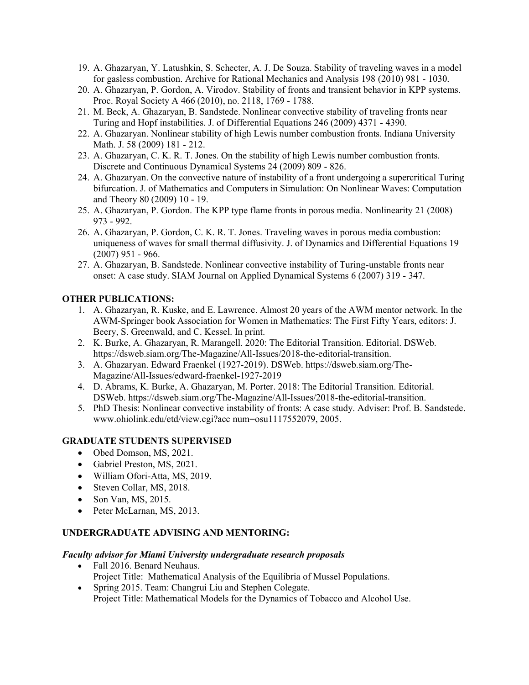- 19. A. Ghazaryan, Y. Latushkin, S. Schecter, A. J. De Souza. Stability of traveling waves in a model for gasless combustion. Archive for Rational Mechanics and Analysis 198 (2010) 981 - 1030.
- 20. A. Ghazaryan, P. Gordon, A. Virodov. Stability of fronts and transient behavior in KPP systems. Proc. Royal Society A 466 (2010), no. 2118, 1769 - 1788.
- 21. M. Beck, A. Ghazaryan, B. Sandstede. Nonlinear convective stability of traveling fronts near Turing and Hopf instabilities. J. of Differential Equations 246 (2009) 4371 - 4390.
- 22. A. Ghazaryan. Nonlinear stability of high Lewis number combustion fronts. Indiana University Math. J. 58 (2009) 181 - 212.
- 23. A. Ghazaryan, C. K. R. T. Jones. On the stability of high Lewis number combustion fronts. Discrete and Continuous Dynamical Systems 24 (2009) 809 - 826.
- 24. A. Ghazaryan. On the convective nature of instability of a front undergoing a supercritical Turing bifurcation. J. of Mathematics and Computers in Simulation: On Nonlinear Waves: Computation and Theory 80 (2009) 10 - 19.
- 25. A. Ghazaryan, P. Gordon. The KPP type flame fronts in porous media. Nonlinearity 21 (2008) 973 - 992.
- 26. A. Ghazaryan, P. Gordon, C. K. R. T. Jones. Traveling waves in porous media combustion: uniqueness of waves for small thermal diffusivity. J. of Dynamics and Differential Equations 19  $(2007)$  951 - 966.
- 27. A. Ghazaryan, B. Sandstede. Nonlinear convective instability of Turing-unstable fronts near onset: A case study. SIAM Journal on Applied Dynamical Systems 6 (2007) 319 - 347.

#### **OTHER PUBLICATIONS:**

- 1. A. Ghazaryan, R. Kuske, and E. Lawrence. Almost 20 years of the AWM mentor network. In the AWM-Springer book Association for Women in Mathematics: The First Fifty Years, editors: J. Beery, S. Greenwald, and C. Kessel. In print.
- 2. K. Burke, A. Ghazaryan, R. Marangell. 2020: The Editorial Transition. Editorial. DSWeb. https://dsweb.siam.org/The-Magazine/All-Issues/2018-the-editorial-transition.
- 3. A. Ghazaryan. Edward Fraenkel (1927-2019). DSWeb. https://dsweb.siam.org/The-Magazine/All-Issues/edward-fraenkel-1927-2019
- 4. D. Abrams, K. Burke, A. Ghazaryan, M. Porter. 2018: The Editorial Transition. Editorial. DSWeb. https://dsweb.siam.org/The-Magazine/All-Issues/2018-the-editorial-transition.
- 5. PhD Thesis: Nonlinear convective instability of fronts: A case study. Adviser: Prof. B. Sandstede. www.ohiolink.edu/etd/view.cgi?acc num=osu1117552079, 2005.

#### **GRADUATE STUDENTS SUPERVISED**

- Obed Domson, MS, 2021.
- Gabriel Preston, MS, 2021.
- William Ofori-Atta, MS, 2019.
- Steven Collar, MS, 2018.
- Son Van, MS, 2015.
- Peter McLarnan, MS, 2013.

#### **UNDERGRADUATE ADVISING AND MENTORING:**

#### *Faculty advisor for Miami University undergraduate research proposals*

- Fall 2016. Benard Neuhaus.
	- Project Title: Mathematical Analysis of the Equilibria of Mussel Populations.
- Spring 2015. Team: Changrui Liu and Stephen Colegate.

Project Title: Mathematical Models for the Dynamics of Tobacco and Alcohol Use.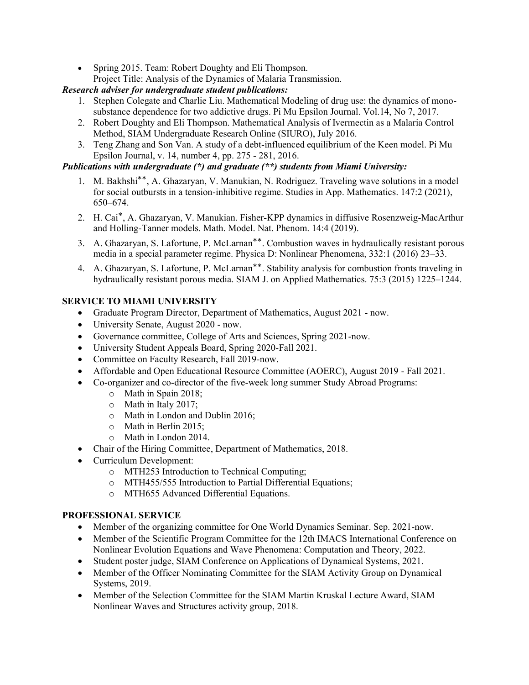• Spring 2015. Team: Robert Doughty and Eli Thompson. Project Title: Analysis of the Dynamics of Malaria Transmission.

# *Research adviser for undergraduate student publications:*

- 1. Stephen Colegate and Charlie Liu. Mathematical Modeling of drug use: the dynamics of monosubstance dependence for two addictive drugs. Pi Mu Epsilon Journal. Vol.14, No 7, 2017.
- 2. Robert Doughty and Eli Thompson. Mathematical Analysis of Ivermectin as a Malaria Control Method, SIAM Undergraduate Research Online (SIURO), July 2016.
- 3. Teng Zhang and Son Van. A study of a debt-influenced equilibrium of the Keen model. Pi Mu Epsilon Journal, v. 14, number 4, pp. 275 - 281, 2016.

# *Publications with undergraduate (\*) and graduate (\*\*) students from Miami University:*

- 1. M. Bakhshi∗∗, A. Ghazaryan, V. Manukian, N. Rodriguez. Traveling wave solutions in a model for social outbursts in a tension-inhibitive regime. Studies in App. Mathematics. 147:2 (2021), 650–674.
- 2. H. Cai∗ , A. Ghazaryan, V. Manukian. Fisher-KPP dynamics in diffusive Rosenzweig-MacArthur and Holling-Tanner models. Math. Model. Nat. Phenom. 14:4 (2019).
- 3. A. Ghazaryan, S. Lafortune, P. McLarnan∗∗. Combustion waves in hydraulically resistant porous media in a special parameter regime. Physica D: Nonlinear Phenomena, 332:1 (2016) 23–33.
- 4. A. Ghazaryan, S. Lafortune, P. McLarnan∗∗. Stability analysis for combustion fronts traveling in hydraulically resistant porous media. SIAM J. on Applied Mathematics. 75:3 (2015) 1225–1244.

# **SERVICE TO MIAMI UNIVERSITY**

- Graduate Program Director, Department of Mathematics, August 2021 now.
- University Senate, August 2020 now.
- Governance committee, College of Arts and Sciences, Spring 2021-now.
- University Student Appeals Board, Spring 2020-Fall 2021.
- Committee on Faculty Research, Fall 2019-now.
- Affordable and Open Educational Resource Committee (AOERC), August 2019 Fall 2021.
- Co-organizer and co-director of the five-week long summer Study Abroad Programs:
	- o Math in Spain 2018;
	- o Math in Italy 2017;
	- o Math in London and Dublin 2016;
	- o Math in Berlin 2015;
	- o Math in London 2014.
- Chair of the Hiring Committee, Department of Mathematics, 2018.
- Curriculum Development:
	- o MTH253 Introduction to Technical Computing;
	- o MTH455/555 Introduction to Partial Differential Equations;
	- o MTH655 Advanced Differential Equations.

# **PROFESSIONAL SERVICE**

- Member of the organizing committee for One World Dynamics Seminar. Sep. 2021-now.
- Member of the Scientific Program Committee for the 12th IMACS International Conference on Nonlinear Evolution Equations and Wave Phenomena: Computation and Theory, 2022.
- Student poster judge, SIAM Conference on Applications of Dynamical Systems, 2021.
- Member of the Officer Nominating Committee for the SIAM Activity Group on Dynamical Systems, 2019.
- Member of the Selection Committee for the SIAM Martin Kruskal Lecture Award, SIAM Nonlinear Waves and Structures activity group, 2018.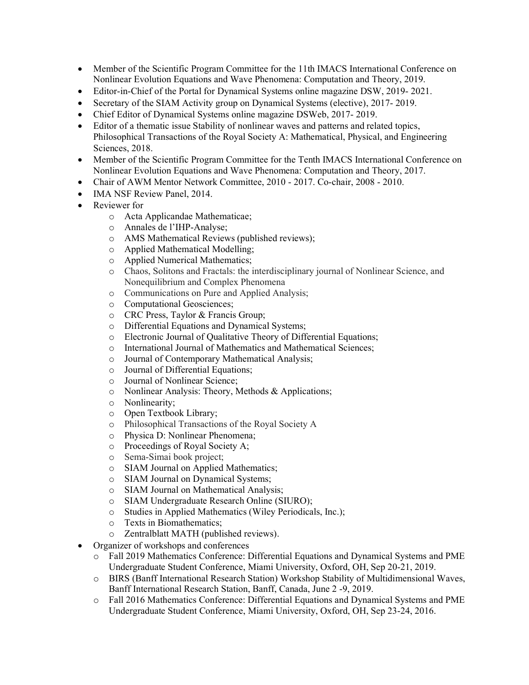- Member of the Scientific Program Committee for the 11th IMACS International Conference on Nonlinear Evolution Equations and Wave Phenomena: Computation and Theory, 2019.
- Editor-in-Chief of the Portal for Dynamical Systems online magazine DSW, 2019- 2021.
- Secretary of the SIAM Activity group on Dynamical Systems (elective), 2017- 2019.
- Chief Editor of Dynamical Systems online magazine DSWeb, 2017- 2019.
- Editor of a thematic issue Stability of nonlinear waves and patterns and related topics, Philosophical Transactions of the Royal Society A: Mathematical, Physical, and Engineering Sciences, 2018.
- Member of the Scientific Program Committee for the Tenth IMACS International Conference on Nonlinear Evolution Equations and Wave Phenomena: Computation and Theory, 2017.
- Chair of AWM Mentor Network Committee, 2010 2017. Co-chair, 2008 2010.
- IMA NSF Review Panel, 2014.
- Reviewer for
	- o Acta Applicandae Mathematicae;
	- o Annales de l'IHP-Analyse;
	- o AMS Mathematical Reviews (published reviews);
	- o Applied Mathematical Modelling;
	- o Applied Numerical Mathematics;
	- o Chaos, Solitons and Fractals: the interdisciplinary journal of Nonlinear Science, and Nonequilibrium and Complex Phenomena
	- o Communications on Pure and Applied Analysis;
	- o Computational Geosciences;
	- o CRC Press, Taylor & Francis Group;
	- o Differential Equations and Dynamical Systems;
	- o Electronic Journal of Qualitative Theory of Differential Equations;
	- o International Journal of Mathematics and Mathematical Sciences;
	- o Journal of Contemporary Mathematical Analysis;
	- o Journal of Differential Equations;
	- o Journal of Nonlinear Science;
	- o Nonlinear Analysis: Theory, Methods & Applications;
	- o Nonlinearity;
	- o Open Textbook Library;
	- o Philosophical Transactions of the Royal Society A
	- o Physica D: Nonlinear Phenomena;
	- o Proceedings of Royal Society A;
	- o Sema-Simai book project;
	- o SIAM Journal on Applied Mathematics;
	- o SIAM Journal on Dynamical Systems;
	- o SIAM Journal on Mathematical Analysis;
	- o SIAM Undergraduate Research Online (SIURO);
	- o Studies in Applied Mathematics (Wiley Periodicals, Inc.);
	- o Texts in Biomathematics;
	- o Zentralblatt MATH (published reviews).
- Organizer of workshops and conferences
	- o Fall 2019 Mathematics Conference: Differential Equations and Dynamical Systems and PME Undergraduate Student Conference, Miami University, Oxford, OH, Sep 20-21, 2019.
	- o BIRS (Banff International Research Station) Workshop Stability of Multidimensional Waves, Banff International Research Station, Banff, Canada, June 2 -9, 2019.
	- o Fall 2016 Mathematics Conference: Differential Equations and Dynamical Systems and PME Undergraduate Student Conference, Miami University, Oxford, OH, Sep 23-24, 2016.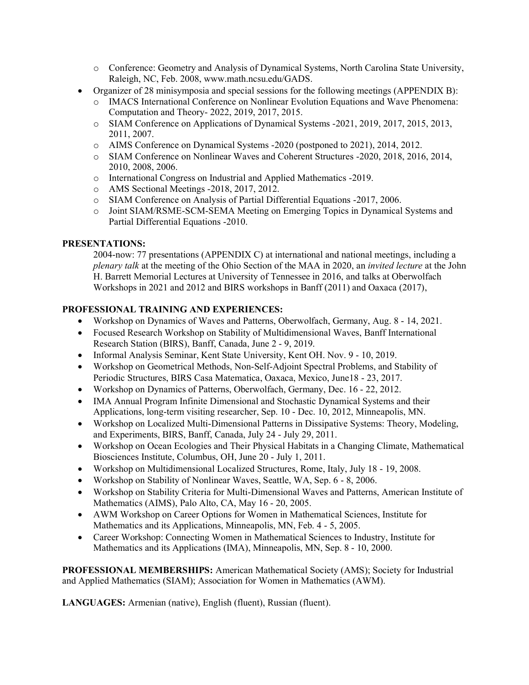- o Conference: Geometry and Analysis of Dynamical Systems, North Carolina State University, Raleigh, NC, Feb. 2008, www.math.ncsu.edu/GADS.
- Organizer of 28 minisymposia and special sessions for the following meetings (APPENDIX B):
	- o IMACS International Conference on Nonlinear Evolution Equations and Wave Phenomena: Computation and Theory- 2022, 2019, 2017, 2015.
	- o SIAM Conference on Applications of Dynamical Systems -2021, 2019, 2017, 2015, 2013, 2011, 2007.
	- o AIMS Conference on Dynamical Systems -2020 (postponed to 2021), 2014, 2012.
	- o SIAM Conference on Nonlinear Waves and Coherent Structures -2020, 2018, 2016, 2014, 2010, 2008, 2006.
	- o International Congress on Industrial and Applied Mathematics -2019.
	- o AMS Sectional Meetings -2018, 2017, 2012.
	- o SIAM Conference on Analysis of Partial Differential Equations -2017, 2006.
	- o Joint SIAM/RSME-SCM-SEMA Meeting on Emerging Topics in Dynamical Systems and Partial Differential Equations -2010.

#### **PRESENTATIONS:**

2004-now: 77 presentations (APPENDIX C) at international and national meetings, including a *plenary talk* at the meeting of the Ohio Section of the MAA in 2020, an *invited lecture* at the John H. Barrett Memorial Lectures at University of Tennessee in 2016, and talks at Oberwolfach Workshops in 2021 and 2012 and BIRS workshops in Banff (2011) and Oaxaca (2017),

#### **PROFESSIONAL TRAINING AND EXPERIENCES:**

- Workshop on Dynamics of Waves and Patterns, Oberwolfach, Germany, Aug. 8 14, 2021.
- Focused Research Workshop on Stability of Multidimensional Waves, Banff International Research Station (BIRS), Banff, Canada, June 2 - 9, 2019.
- Informal Analysis Seminar, Kent State University, Kent OH. Nov. 9 10, 2019.
- Workshop on Geometrical Methods, Non-Self-Adjoint Spectral Problems, and Stability of Periodic Structures, BIRS Casa Matematica, Oaxaca, Mexico, June18 - 23, 2017.
- Workshop on Dynamics of Patterns, Oberwolfach, Germany, Dec. 16 22, 2012.
- IMA Annual Program Infinite Dimensional and Stochastic Dynamical Systems and their Applications, long-term visiting researcher, Sep. 10 - Dec. 10, 2012, Minneapolis, MN.
- Workshop on Localized Multi-Dimensional Patterns in Dissipative Systems: Theory, Modeling, and Experiments, BIRS, Banff, Canada, July 24 - July 29, 2011.
- Workshop on Ocean Ecologies and Their Physical Habitats in a Changing Climate, Mathematical Biosciences Institute, Columbus, OH, June 20 - July 1, 2011.
- Workshop on Multidimensional Localized Structures, Rome, Italy, July 18 19, 2008.
- Workshop on Stability of Nonlinear Waves, Seattle, WA, Sep. 6 8, 2006.
- Workshop on Stability Criteria for Multi-Dimensional Waves and Patterns, American Institute of Mathematics (AIMS), Palo Alto, CA, May 16 - 20, 2005.
- AWM Workshop on Career Options for Women in Mathematical Sciences, Institute for Mathematics and its Applications, Minneapolis, MN, Feb. 4 - 5, 2005.
- Career Workshop: Connecting Women in Mathematical Sciences to Industry, Institute for Mathematics and its Applications (IMA), Minneapolis, MN, Sep. 8 - 10, 2000.

**PROFESSIONAL MEMBERSHIPS:** American Mathematical Society (AMS); Society for Industrial and Applied Mathematics (SIAM); Association for Women in Mathematics (AWM).

**LANGUAGES:** Armenian (native), English (fluent), Russian (fluent).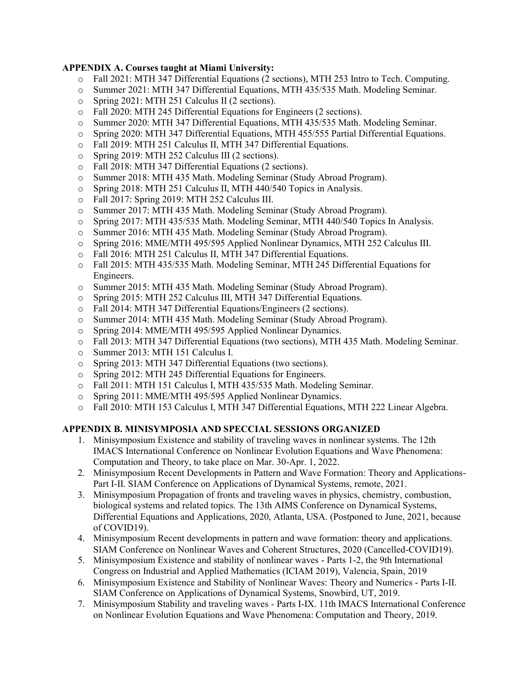## **APPENDIX A. Courses taught at Miami University:**

- o Fall 2021: MTH 347 Differential Equations (2 sections), MTH 253 Intro to Tech. Computing.
- o Summer 2021: MTH 347 Differential Equations, MTH 435/535 Math. Modeling Seminar.
- o Spring 2021: MTH 251 Calculus II (2 sections).
- o Fall 2020: MTH 245 Differential Equations for Engineers (2 sections).
- o Summer 2020: MTH 347 Differential Equations, MTH 435/535 Math. Modeling Seminar.
- o Spring 2020: MTH 347 Differential Equations, MTH 455/555 Partial Differential Equations.
- o Fall 2019: MTH 251 Calculus II, MTH 347 Differential Equations.
- o Spring 2019: MTH 252 Calculus III (2 sections).
- o Fall 2018: MTH 347 Differential Equations (2 sections).
- o Summer 2018: MTH 435 Math. Modeling Seminar (Study Abroad Program).
- o Spring 2018: MTH 251 Calculus II, MTH 440/540 Topics in Analysis.
- o Fall 2017: Spring 2019: MTH 252 Calculus III.
- o Summer 2017: MTH 435 Math. Modeling Seminar (Study Abroad Program).
- o Spring 2017: MTH 435/535 Math. Modeling Seminar, MTH 440/540 Topics In Analysis.
- o Summer 2016: MTH 435 Math. Modeling Seminar (Study Abroad Program).
- o Spring 2016: MME/MTH 495/595 Applied Nonlinear Dynamics, MTH 252 Calculus III.
- o Fall 2016: MTH 251 Calculus II, MTH 347 Differential Equations.
- o Fall 2015: MTH 435/535 Math. Modeling Seminar, MTH 245 Differential Equations for Engineers.
- o Summer 2015: MTH 435 Math. Modeling Seminar (Study Abroad Program).
- o Spring 2015: MTH 252 Calculus III, MTH 347 Differential Equations.
- o Fall 2014: MTH 347 Differential Equations/Engineers (2 sections).
- o Summer 2014: MTH 435 Math. Modeling Seminar (Study Abroad Program).
- o Spring 2014: MME/MTH 495/595 Applied Nonlinear Dynamics.
- o Fall 2013: MTH 347 Differential Equations (two sections), MTH 435 Math. Modeling Seminar.
- o Summer 2013: MTH 151 Calculus I.
- o Spring 2013: MTH 347 Differential Equations (two sections).
- o Spring 2012: MTH 245 Differential Equations for Engineers.
- o Fall 2011: MTH 151 Calculus I, MTH 435/535 Math. Modeling Seminar.
- o Spring 2011: MME/MTH 495/595 Applied Nonlinear Dynamics.
- o Fall 2010: MTH 153 Calculus I, MTH 347 Differential Equations, MTH 222 Linear Algebra.

## **APPENDIX B. MINISYMPOSIA AND SPECCIAL SESSIONS ORGANIZED**

- 1. Minisymposium Existence and stability of traveling waves in nonlinear systems. The 12th IMACS International Conference on Nonlinear Evolution Equations and Wave Phenomena: Computation and Theory, to take place on Mar. 30-Apr. 1, 2022.
- 2. Minisymposium Recent Developments in Pattern and Wave Formation: Theory and Applications-Part I-II. SIAM Conference on Applications of Dynamical Systems, remote, 2021.
- 3. Minisymposium Propagation of fronts and traveling waves in physics, chemistry, combustion, biological systems and related topics. The 13th AIMS Conference on Dynamical Systems, Differential Equations and Applications, 2020, Atlanta, USA. (Postponed to June, 2021, because of COVID19).
- 4. Minisymposium Recent developments in pattern and wave formation: theory and applications. SIAM Conference on Nonlinear Waves and Coherent Structures, 2020 (Cancelled-COVID19).
- 5. Minisymposium Existence and stability of nonlinear waves Parts 1-2, the 9th International Congress on Industrial and Applied Mathematics (ICIAM 2019), Valencia, Spain, 2019
- 6. Minisymposium Existence and Stability of Nonlinear Waves: Theory and Numerics Parts I-II. SIAM Conference on Applications of Dynamical Systems, Snowbird, UT, 2019.
- 7. Minisymposium Stability and traveling waves Parts I-IX. 11th IMACS International Conference on Nonlinear Evolution Equations and Wave Phenomena: Computation and Theory, 2019.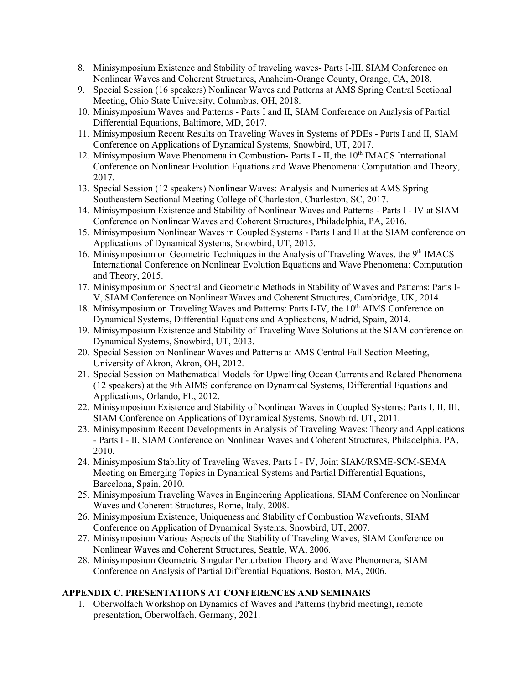- 8. Minisymposium Existence and Stability of traveling waves- Parts I-III. SIAM Conference on Nonlinear Waves and Coherent Structures, Anaheim-Orange County, Orange, CA, 2018.
- 9. Special Session (16 speakers) Nonlinear Waves and Patterns at AMS Spring Central Sectional Meeting, Ohio State University, Columbus, OH, 2018.
- 10. Minisymposium Waves and Patterns Parts I and II, SIAM Conference on Analysis of Partial Differential Equations, Baltimore, MD, 2017.
- 11. Minisymposium Recent Results on Traveling Waves in Systems of PDEs Parts I and II, SIAM Conference on Applications of Dynamical Systems, Snowbird, UT, 2017.
- 12. Minisymposium Wave Phenomena in Combustion- Parts I II, the 10<sup>th</sup> IMACS International Conference on Nonlinear Evolution Equations and Wave Phenomena: Computation and Theory, 2017.
- 13. Special Session (12 speakers) Nonlinear Waves: Analysis and Numerics at AMS Spring Southeastern Sectional Meeting College of Charleston, Charleston, SC, 2017.
- 14. Minisymposium Existence and Stability of Nonlinear Waves and Patterns Parts I IV at SIAM Conference on Nonlinear Waves and Coherent Structures, Philadelphia, PA, 2016.
- 15. Minisymposium Nonlinear Waves in Coupled Systems Parts I and II at the SIAM conference on Applications of Dynamical Systems, Snowbird, UT, 2015.
- 16. Minisymposium on Geometric Techniques in the Analysis of Traveling Waves, the 9<sup>th</sup> IMACS International Conference on Nonlinear Evolution Equations and Wave Phenomena: Computation and Theory, 2015.
- 17. Minisymposium on Spectral and Geometric Methods in Stability of Waves and Patterns: Parts I-V, SIAM Conference on Nonlinear Waves and Coherent Structures, Cambridge, UK, 2014.
- 18. Minisymposium on Traveling Waves and Patterns: Parts I-IV, the 10<sup>th</sup> AIMS Conference on Dynamical Systems, Differential Equations and Applications, Madrid, Spain, 2014.
- 19. Minisymposium Existence and Stability of Traveling Wave Solutions at the SIAM conference on Dynamical Systems, Snowbird, UT, 2013.
- 20. Special Session on Nonlinear Waves and Patterns at AMS Central Fall Section Meeting, University of Akron, Akron, OH, 2012.
- 21. Special Session on Mathematical Models for Upwelling Ocean Currents and Related Phenomena (12 speakers) at the 9th AIMS conference on Dynamical Systems, Differential Equations and Applications, Orlando, FL, 2012.
- 22. Minisymposium Existence and Stability of Nonlinear Waves in Coupled Systems: Parts I, II, III, SIAM Conference on Applications of Dynamical Systems, Snowbird, UT, 2011.
- 23. Minisymposium Recent Developments in Analysis of Traveling Waves: Theory and Applications - Parts I - II, SIAM Conference on Nonlinear Waves and Coherent Structures, Philadelphia, PA, 2010.
- 24. Minisymposium Stability of Traveling Waves, Parts I IV, Joint SIAM/RSME-SCM-SEMA Meeting on Emerging Topics in Dynamical Systems and Partial Differential Equations, Barcelona, Spain, 2010.
- 25. Minisymposium Traveling Waves in Engineering Applications, SIAM Conference on Nonlinear Waves and Coherent Structures, Rome, Italy, 2008.
- 26. Minisymposium Existence, Uniqueness and Stability of Combustion Wavefronts, SIAM Conference on Application of Dynamical Systems, Snowbird, UT, 2007.
- 27. Minisymposium Various Aspects of the Stability of Traveling Waves, SIAM Conference on Nonlinear Waves and Coherent Structures, Seattle, WA, 2006.
- 28. Minisymposium Geometric Singular Perturbation Theory and Wave Phenomena, SIAM Conference on Analysis of Partial Differential Equations, Boston, MA, 2006.

## **APPENDIX C. PRESENTATIONS AT CONFERENCES AND SEMINARS**

1. Oberwolfach Workshop on Dynamics of Waves and Patterns (hybrid meeting), remote presentation, Oberwolfach, Germany, 2021.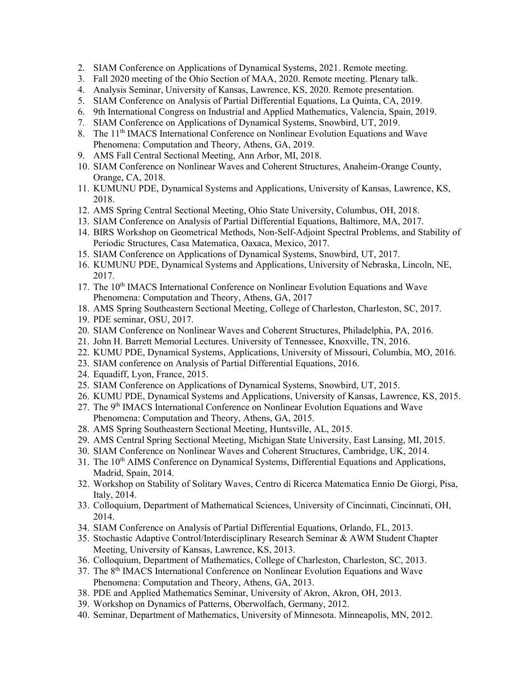- 2. SIAM Conference on Applications of Dynamical Systems, 2021. Remote meeting.
- 3. Fall 2020 meeting of the Ohio Section of MAA, 2020. Remote meeting. Plenary talk.
- 4. Analysis Seminar, University of Kansas, Lawrence, KS, 2020. Remote presentation.
- 5. SIAM Conference on Analysis of Partial Differential Equations, La Quinta, CA, 2019.
- 6. 9th International Congress on Industrial and Applied Mathematics, Valencia, Spain, 2019.
- 7. SIAM Conference on Applications of Dynamical Systems, Snowbird, UT, 2019.
- 8. The 11<sup>th</sup> IMACS International Conference on Nonlinear Evolution Equations and Wave Phenomena: Computation and Theory, Athens, GA, 2019.
- 9. AMS Fall Central Sectional Meeting, Ann Arbor, MI, 2018.
- 10. SIAM Conference on Nonlinear Waves and Coherent Structures, Anaheim-Orange County, Orange, CA, 2018.
- 11. KUMUNU PDE, Dynamical Systems and Applications, University of Kansas, Lawrence, KS, 2018.
- 12. AMS Spring Central Sectional Meeting, Ohio State University, Columbus, OH, 2018.
- 13. SIAM Conference on Analysis of Partial Differential Equations, Baltimore, MA, 2017.
- 14. BIRS Workshop on Geometrical Methods, Non-Self-Adjoint Spectral Problems, and Stability of Periodic Structures, Casa Matematica, Oaxaca, Mexico, 2017.
- 15. SIAM Conference on Applications of Dynamical Systems, Snowbird, UT, 2017.
- 16. KUMUNU PDE, Dynamical Systems and Applications, University of Nebraska, Lincoln, NE, 2017.
- 17. The 10<sup>th</sup> IMACS International Conference on Nonlinear Evolution Equations and Wave Phenomena: Computation and Theory, Athens, GA, 2017
- 18. AMS Spring Southeastern Sectional Meeting, College of Charleston, Charleston, SC, 2017.
- 19. PDE seminar, OSU, 2017.
- 20. SIAM Conference on Nonlinear Waves and Coherent Structures, Philadelphia, PA, 2016.
- 21. John H. Barrett Memorial Lectures. University of Tennessee, Knoxville, TN, 2016.
- 22. KUMU PDE, Dynamical Systems, Applications, University of Missouri, Columbia, MO, 2016.
- 23. SIAM conference on Analysis of Partial Differential Equations, 2016.
- 24. Equadiff, Lyon, France, 2015.
- 25. SIAM Conference on Applications of Dynamical Systems, Snowbird, UT, 2015.
- 26. KUMU PDE, Dynamical Systems and Applications, University of Kansas, Lawrence, KS, 2015.
- 27. The 9<sup>th</sup> IMACS International Conference on Nonlinear Evolution Equations and Wave Phenomena: Computation and Theory, Athens, GA, 2015.
- 28. AMS Spring Southeastern Sectional Meeting, Huntsville, AL, 2015.
- 29. AMS Central Spring Sectional Meeting, Michigan State University, East Lansing, MI, 2015.
- 30. SIAM Conference on Nonlinear Waves and Coherent Structures, Cambridge, UK, 2014.
- 31. The 10<sup>th</sup> AIMS Conference on Dynamical Systems, Differential Equations and Applications, Madrid, Spain, 2014.
- 32. Workshop on Stability of Solitary Waves, Centro di Ricerca Matematica Ennio De Giorgi, Pisa, Italy, 2014.
- 33. Colloquium, Department of Mathematical Sciences, University of Cincinnati, Cincinnati, OH, 2014.
- 34. SIAM Conference on Analysis of Partial Differential Equations, Orlando, FL, 2013.
- 35. Stochastic Adaptive Control/Interdisciplinary Research Seminar & AWM Student Chapter Meeting, University of Kansas, Lawrence, KS, 2013.
- 36. Colloquium, Department of Mathematics, College of Charleston, Charleston, SC, 2013.
- 37. The 8th IMACS International Conference on Nonlinear Evolution Equations and Wave Phenomena: Computation and Theory, Athens, GA, 2013.
- 38. PDE and Applied Mathematics Seminar, University of Akron, Akron, OH, 2013.
- 39. Workshop on Dynamics of Patterns, Oberwolfach, Germany, 2012.
- 40. Seminar, Department of Mathematics, University of Minnesota. Minneapolis, MN, 2012.